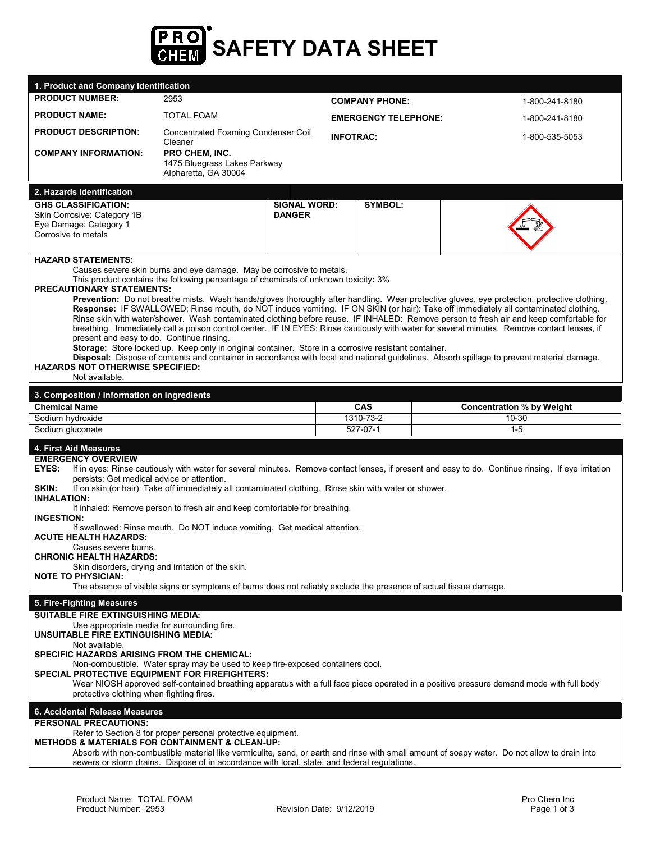

| 1. Product and Company Identification                                                                                                                                                                                                                                                 |                                                                                                                   |                     |                             |                                                                                                                                                    |  |
|---------------------------------------------------------------------------------------------------------------------------------------------------------------------------------------------------------------------------------------------------------------------------------------|-------------------------------------------------------------------------------------------------------------------|---------------------|-----------------------------|----------------------------------------------------------------------------------------------------------------------------------------------------|--|
| <b>PRODUCT NUMBER:</b>                                                                                                                                                                                                                                                                | 2953                                                                                                              |                     | <b>COMPANY PHONE:</b>       | 1-800-241-8180                                                                                                                                     |  |
| <b>PRODUCT NAME:</b>                                                                                                                                                                                                                                                                  | <b>TOTAL FOAM</b>                                                                                                 |                     | <b>EMERGENCY TELEPHONE:</b> | 1-800-241-8180                                                                                                                                     |  |
| <b>PRODUCT DESCRIPTION:</b>                                                                                                                                                                                                                                                           | <b>Concentrated Foaming Condenser Coil</b><br>Cleaner                                                             | <b>INFOTRAC:</b>    |                             | 1-800-535-5053                                                                                                                                     |  |
| <b>COMPANY INFORMATION:</b>                                                                                                                                                                                                                                                           | PRO CHEM, INC.<br>1475 Bluegrass Lakes Parkway<br>Alpharetta, GA 30004                                            |                     |                             |                                                                                                                                                    |  |
| 2. Hazards Identification                                                                                                                                                                                                                                                             |                                                                                                                   |                     |                             |                                                                                                                                                    |  |
| <b>GHS CLASSIFICATION:</b>                                                                                                                                                                                                                                                            |                                                                                                                   | <b>SIGNAL WORD:</b> | <b>SYMBOL:</b>              |                                                                                                                                                    |  |
| Skin Corrosive: Category 1B                                                                                                                                                                                                                                                           |                                                                                                                   | <b>DANGER</b>       |                             |                                                                                                                                                    |  |
| Eye Damage: Category 1<br>Corrosive to metals                                                                                                                                                                                                                                         |                                                                                                                   |                     |                             |                                                                                                                                                    |  |
| <b>HAZARD STATEMENTS:</b>                                                                                                                                                                                                                                                             | Causes severe skin burns and eye damage. May be corrosive to metals.                                              |                     |                             |                                                                                                                                                    |  |
| <b>PRECAUTIONARY STATEMENTS:</b>                                                                                                                                                                                                                                                      | This product contains the following percentage of chemicals of unknown toxicity: 3%                               |                     |                             |                                                                                                                                                    |  |
|                                                                                                                                                                                                                                                                                       |                                                                                                                   |                     |                             | Prevention: Do not breathe mists. Wash hands/gloves thoroughly after handling. Wear protective gloves, eye protection, protective clothing.        |  |
|                                                                                                                                                                                                                                                                                       |                                                                                                                   |                     |                             | Response: IF SWALLOWED: Rinse mouth, do NOT induce vomiting. IF ON SKIN (or hair): Take off immediately all contaminated clothing.                 |  |
| Rinse skin with water/shower. Wash contaminated clothing before reuse. IF INHALED: Remove person to fresh air and keep comfortable for<br>breathing. Immediately call a poison control center. IF IN EYES: Rinse cautiously with water for several minutes. Remove contact lenses, if |                                                                                                                   |                     |                             |                                                                                                                                                    |  |
| present and easy to do. Continue rinsing.                                                                                                                                                                                                                                             | Storage: Store locked up. Keep only in original container. Store in a corrosive resistant container.              |                     |                             |                                                                                                                                                    |  |
|                                                                                                                                                                                                                                                                                       |                                                                                                                   |                     |                             | Disposal: Dispose of contents and container in accordance with local and national guidelines. Absorb spillage to prevent material damage.          |  |
| <b>HAZARDS NOT OTHERWISE SPECIFIED:</b><br>Not available.                                                                                                                                                                                                                             |                                                                                                                   |                     |                             |                                                                                                                                                    |  |
| 3. Composition / Information on Ingredients                                                                                                                                                                                                                                           |                                                                                                                   |                     |                             |                                                                                                                                                    |  |
| <b>Chemical Name</b>                                                                                                                                                                                                                                                                  |                                                                                                                   |                     | <b>CAS</b>                  | <b>Concentration % by Weight</b>                                                                                                                   |  |
| Sodium hydroxide                                                                                                                                                                                                                                                                      |                                                                                                                   |                     | 1310-73-2                   | 10-30                                                                                                                                              |  |
| Sodium gluconate                                                                                                                                                                                                                                                                      |                                                                                                                   |                     | $527-07-1$                  | $1 - 5$                                                                                                                                            |  |
|                                                                                                                                                                                                                                                                                       |                                                                                                                   |                     |                             |                                                                                                                                                    |  |
|                                                                                                                                                                                                                                                                                       |                                                                                                                   |                     |                             |                                                                                                                                                    |  |
| 4. First Aid Measures<br><b>EMERGENCY OVERVIEW</b>                                                                                                                                                                                                                                    |                                                                                                                   |                     |                             |                                                                                                                                                    |  |
| EYES:                                                                                                                                                                                                                                                                                 |                                                                                                                   |                     |                             | If in eyes: Rinse cautiously with water for several minutes. Remove contact lenses, if present and easy to do. Continue rinsing. If eye irritation |  |
| persists: Get medical advice or attention.<br>SKIN:                                                                                                                                                                                                                                   |                                                                                                                   |                     |                             |                                                                                                                                                    |  |
| <b>INHALATION:</b>                                                                                                                                                                                                                                                                    | If on skin (or hair): Take off immediately all contaminated clothing. Rinse skin with water or shower.            |                     |                             |                                                                                                                                                    |  |
|                                                                                                                                                                                                                                                                                       | If inhaled: Remove person to fresh air and keep comfortable for breathing.                                        |                     |                             |                                                                                                                                                    |  |
| <b>INGESTION:</b>                                                                                                                                                                                                                                                                     | If swallowed: Rinse mouth. Do NOT induce vomiting. Get medical attention.                                         |                     |                             |                                                                                                                                                    |  |
| <b>ACUTE HEALTH HAZARDS:</b>                                                                                                                                                                                                                                                          |                                                                                                                   |                     |                             |                                                                                                                                                    |  |
| Causes severe burns.<br><b>CHRONIC HEALTH HAZARDS:</b>                                                                                                                                                                                                                                |                                                                                                                   |                     |                             |                                                                                                                                                    |  |
|                                                                                                                                                                                                                                                                                       | Skin disorders, drying and irritation of the skin.                                                                |                     |                             |                                                                                                                                                    |  |
| <b>NOTE TO PHYSICIAN:</b>                                                                                                                                                                                                                                                             | The absence of visible signs or symptoms of burns does not reliably exclude the presence of actual tissue damage. |                     |                             |                                                                                                                                                    |  |
| 5. Fire-Fighting Measures                                                                                                                                                                                                                                                             |                                                                                                                   |                     |                             |                                                                                                                                                    |  |
| <b>SUITABLE FIRE EXTINGUISHING MEDIA:</b>                                                                                                                                                                                                                                             |                                                                                                                   |                     |                             |                                                                                                                                                    |  |
| <b>UNSUITABLE FIRE EXTINGUISHING MEDIA:</b>                                                                                                                                                                                                                                           | Use appropriate media for surrounding fire.                                                                       |                     |                             |                                                                                                                                                    |  |
| Not available.                                                                                                                                                                                                                                                                        |                                                                                                                   |                     |                             |                                                                                                                                                    |  |
| SPECIFIC HAZARDS ARISING FROM THE CHEMICAL:                                                                                                                                                                                                                                           | Non-combustible. Water spray may be used to keep fire-exposed containers cool.                                    |                     |                             |                                                                                                                                                    |  |
| <b>SPECIAL PROTECTIVE EQUIPMENT FOR FIREFIGHTERS:</b>                                                                                                                                                                                                                                 |                                                                                                                   |                     |                             |                                                                                                                                                    |  |
| protective clothing when fighting fires.                                                                                                                                                                                                                                              |                                                                                                                   |                     |                             | Wear NIOSH approved self-contained breathing apparatus with a full face piece operated in a positive pressure demand mode with full body           |  |
| 6. Accidental Release Measures                                                                                                                                                                                                                                                        |                                                                                                                   |                     |                             |                                                                                                                                                    |  |
| PERSONAL PRECAUTIONS:                                                                                                                                                                                                                                                                 |                                                                                                                   |                     |                             |                                                                                                                                                    |  |
|                                                                                                                                                                                                                                                                                       | Refer to Section 8 for proper personal protective equipment.                                                      |                     |                             |                                                                                                                                                    |  |
|                                                                                                                                                                                                                                                                                       | <b>METHODS &amp; MATERIALS FOR CONTAINMENT &amp; CLEAN-UP:</b>                                                    |                     |                             | Absorb with non-combustible material like vermiculite, sand, or earth and rinse with small amount of soapy water. Do not allow to drain into       |  |
|                                                                                                                                                                                                                                                                                       | sewers or storm drains. Dispose of in accordance with local, state, and federal regulations.                      |                     |                             |                                                                                                                                                    |  |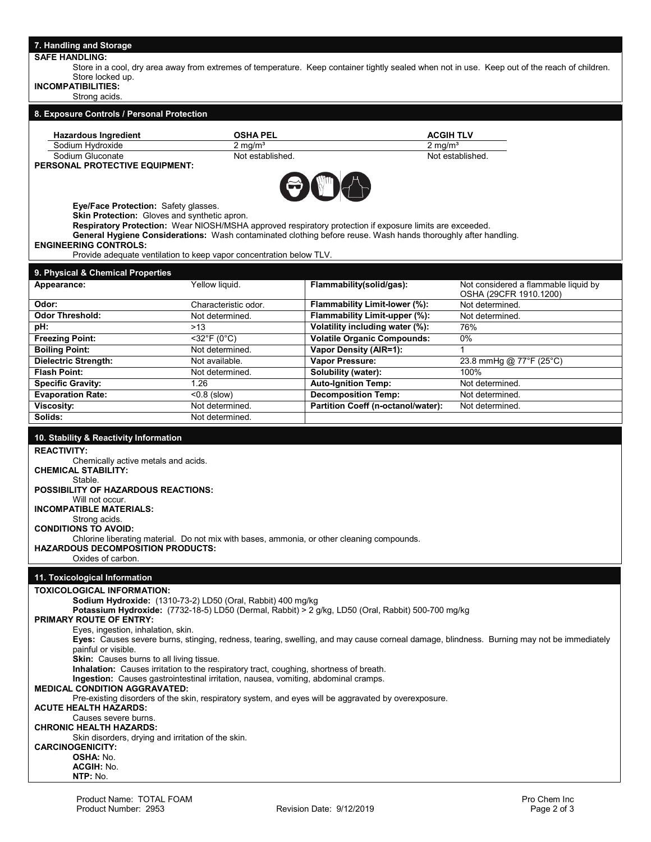## **SAFE HANDLING:**

Store in a cool, dry area away from extremes of temperature. Keep container tightly sealed when not in use. Keep out of the reach of children. Store locked up.

**INCOMPATIBILITIES:** 

## Strong acids.

| 8. Exposure Controls / Personal Protection                                                                                                                      |                                                                     |                                                                                                                                                                                                                            |                                                                |  |  |
|-----------------------------------------------------------------------------------------------------------------------------------------------------------------|---------------------------------------------------------------------|----------------------------------------------------------------------------------------------------------------------------------------------------------------------------------------------------------------------------|----------------------------------------------------------------|--|--|
| <b>Hazardous Ingredient</b>                                                                                                                                     | <b>OSHA PEL</b>                                                     |                                                                                                                                                                                                                            | <b>ACGIH TLV</b>                                               |  |  |
| Sodium Hydroxide                                                                                                                                                | $2 \text{ mg/m}^3$<br>$2 \text{ mg/m}^3$                            |                                                                                                                                                                                                                            |                                                                |  |  |
| Sodium Gluconate                                                                                                                                                | Not established.                                                    |                                                                                                                                                                                                                            | Not established.                                               |  |  |
| PERSONAL PROTECTIVE EQUIPMENT:                                                                                                                                  |                                                                     |                                                                                                                                                                                                                            |                                                                |  |  |
|                                                                                                                                                                 |                                                                     |                                                                                                                                                                                                                            |                                                                |  |  |
| Eye/Face Protection: Safety glasses.<br>Skin Protection: Gloves and synthetic apron.                                                                            |                                                                     | Respiratory Protection: Wear NIOSH/MSHA approved respiratory protection if exposure limits are exceeded.<br>General Hygiene Considerations: Wash contaminated clothing before reuse. Wash hands thoroughly after handling. |                                                                |  |  |
| <b>ENGINEERING CONTROLS:</b>                                                                                                                                    | Provide adequate ventilation to keep vapor concentration below TLV. |                                                                                                                                                                                                                            |                                                                |  |  |
|                                                                                                                                                                 |                                                                     |                                                                                                                                                                                                                            |                                                                |  |  |
| 9. Physical & Chemical Properties                                                                                                                               |                                                                     |                                                                                                                                                                                                                            |                                                                |  |  |
| Appearance:                                                                                                                                                     | Yellow liquid.                                                      | Flammability(solid/gas):                                                                                                                                                                                                   | Not considered a flammable liquid by<br>OSHA (29CFR 1910.1200) |  |  |
| Odor:                                                                                                                                                           | Characteristic odor.                                                | Flammability Limit-lower (%):                                                                                                                                                                                              | Not determined.                                                |  |  |
| <b>Odor Threshold:</b>                                                                                                                                          | Not determined.                                                     | Flammability Limit-upper (%):                                                                                                                                                                                              | Not determined.                                                |  |  |
| pH:                                                                                                                                                             | >13                                                                 | Volatility including water (%):                                                                                                                                                                                            | 76%                                                            |  |  |
| <b>Freezing Point:</b>                                                                                                                                          | <32°F (0°C)                                                         | <b>Volatile Organic Compounds:</b>                                                                                                                                                                                         | 0%                                                             |  |  |
| <b>Boiling Point:</b>                                                                                                                                           | Not determined.                                                     | <b>Vapor Density (AIR=1):</b>                                                                                                                                                                                              | 1                                                              |  |  |
| <b>Dielectric Strength:</b>                                                                                                                                     | Not available.                                                      | Vapor Pressure:                                                                                                                                                                                                            | 23.8 mmHg @ 77°F (25°C)                                        |  |  |
| <b>Flash Point:</b>                                                                                                                                             | Not determined.                                                     | Solubility (water):                                                                                                                                                                                                        | 100%                                                           |  |  |
| <b>Specific Gravity:</b>                                                                                                                                        | 1.26                                                                | <b>Auto-Ignition Temp:</b>                                                                                                                                                                                                 | Not determined.                                                |  |  |
| <b>Evaporation Rate:</b>                                                                                                                                        | <0.8 (slow)                                                         | <b>Decomposition Temp:</b>                                                                                                                                                                                                 | Not determined.                                                |  |  |
| Viscosity:                                                                                                                                                      | Not determined.                                                     | Partition Coeff (n-octanol/water):                                                                                                                                                                                         | Not determined.                                                |  |  |
| Solids:                                                                                                                                                         | Not determined.                                                     |                                                                                                                                                                                                                            |                                                                |  |  |
| 10. Stability & Reactivity Information                                                                                                                          |                                                                     |                                                                                                                                                                                                                            |                                                                |  |  |
| <b>REACTIVITY:</b>                                                                                                                                              |                                                                     |                                                                                                                                                                                                                            |                                                                |  |  |
| Chemically active metals and acids.                                                                                                                             |                                                                     |                                                                                                                                                                                                                            |                                                                |  |  |
| <b>CHEMICAL STABILITY:</b>                                                                                                                                      |                                                                     |                                                                                                                                                                                                                            |                                                                |  |  |
| Stable.<br><b>POSSIBILITY OF HAZARDOUS REACTIONS:</b>                                                                                                           |                                                                     |                                                                                                                                                                                                                            |                                                                |  |  |
| Will not occur.<br><b>INCOMPATIBLE MATERIALS:</b>                                                                                                               |                                                                     |                                                                                                                                                                                                                            |                                                                |  |  |
| Strong acids.                                                                                                                                                   |                                                                     |                                                                                                                                                                                                                            |                                                                |  |  |
| <b>CONDITIONS TO AVOID:</b>                                                                                                                                     |                                                                     |                                                                                                                                                                                                                            |                                                                |  |  |
| Chlorine liberating material. Do not mix with bases, ammonia, or other cleaning compounds.                                                                      |                                                                     |                                                                                                                                                                                                                            |                                                                |  |  |
| <b>HAZARDOUS DECOMPOSITION PRODUCTS:</b>                                                                                                                        |                                                                     |                                                                                                                                                                                                                            |                                                                |  |  |
| Oxides of carbon.                                                                                                                                               |                                                                     |                                                                                                                                                                                                                            |                                                                |  |  |
| 11. Toxicological Information                                                                                                                                   |                                                                     |                                                                                                                                                                                                                            |                                                                |  |  |
| TOXICOLOGICAL INFORMATION:                                                                                                                                      |                                                                     |                                                                                                                                                                                                                            |                                                                |  |  |
| Sodium Hydroxide: (1310-73-2) LD50 (Oral, Rabbit) 400 mg/kg                                                                                                     |                                                                     |                                                                                                                                                                                                                            |                                                                |  |  |
| Potassium Hydroxide: (7732-18-5) LD50 (Dermal, Rabbit) > 2 g/kg, LD50 (Oral, Rabbit) 500-700 mg/kg<br><b>PRIMARY ROUTE OF ENTRY:</b>                            |                                                                     |                                                                                                                                                                                                                            |                                                                |  |  |
| Eyes, ingestion, inhalation, skin.                                                                                                                              |                                                                     |                                                                                                                                                                                                                            |                                                                |  |  |
| Eyes: Causes severe burns, stinging, redness, tearing, swelling, and may cause corneal damage, blindness. Burning may not be immediately<br>painful or visible. |                                                                     |                                                                                                                                                                                                                            |                                                                |  |  |
| Skin: Causes burns to all living tissue.                                                                                                                        |                                                                     |                                                                                                                                                                                                                            |                                                                |  |  |
| Inhalation: Causes irritation to the respiratory tract, coughing, shortness of breath.                                                                          |                                                                     |                                                                                                                                                                                                                            |                                                                |  |  |
| Ingestion: Causes gastrointestinal irritation, nausea, vomiting, abdominal cramps.<br><b>MEDICAL CONDITION AGGRAVATED:</b>                                      |                                                                     |                                                                                                                                                                                                                            |                                                                |  |  |
| Pre-existing disorders of the skin, respiratory system, and eyes will be aggravated by overexposure.                                                            |                                                                     |                                                                                                                                                                                                                            |                                                                |  |  |
| <b>ACUTE HEALTH HAZARDS:</b><br>Causes severe burns.                                                                                                            |                                                                     |                                                                                                                                                                                                                            |                                                                |  |  |
| <b>CHRONIC HEALTH HAZARDS:</b>                                                                                                                                  |                                                                     |                                                                                                                                                                                                                            |                                                                |  |  |
| Skin disorders, drying and irritation of the skin.<br><b>CARCINOGENICITY:</b>                                                                                   |                                                                     |                                                                                                                                                                                                                            |                                                                |  |  |
| <b>OSHA: No.</b>                                                                                                                                                |                                                                     |                                                                                                                                                                                                                            |                                                                |  |  |
| <b>ACGIH: No.</b><br>NTP: No.                                                                                                                                   |                                                                     |                                                                                                                                                                                                                            |                                                                |  |  |
|                                                                                                                                                                 |                                                                     |                                                                                                                                                                                                                            |                                                                |  |  |